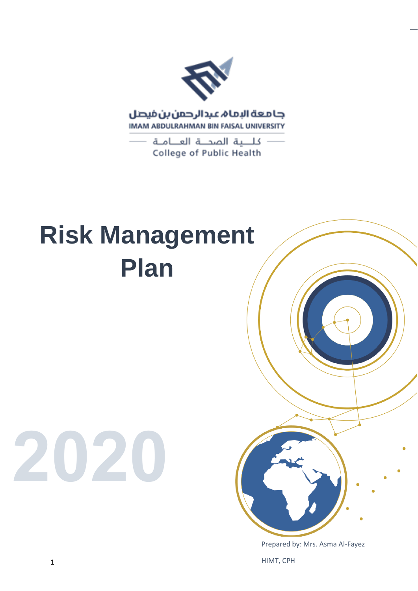

- كلية الصحية العنامية -College of Public Health

## **Risk Management Plan**

# **2020**



Prepared by: Mrs. Asma Al-Fayez

HIMT, CPH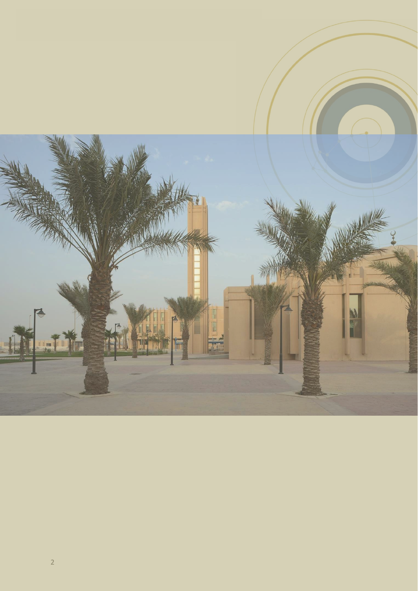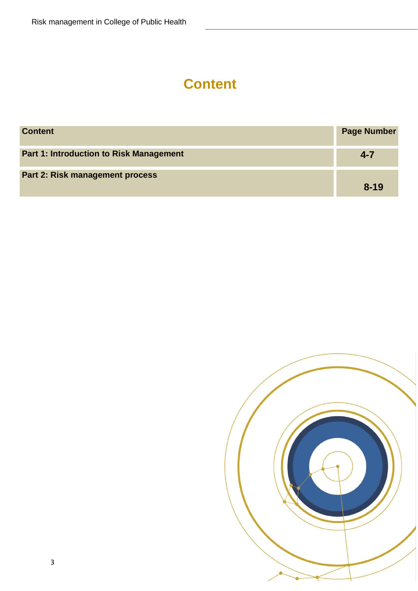## **Content**

| <b>Content</b>                                 | <b>Page Number</b> |
|------------------------------------------------|--------------------|
| <b>Part 1: Introduction to Risk Management</b> | $4 - 7$            |
| Part 2: Risk management process                | $8 - 19$           |

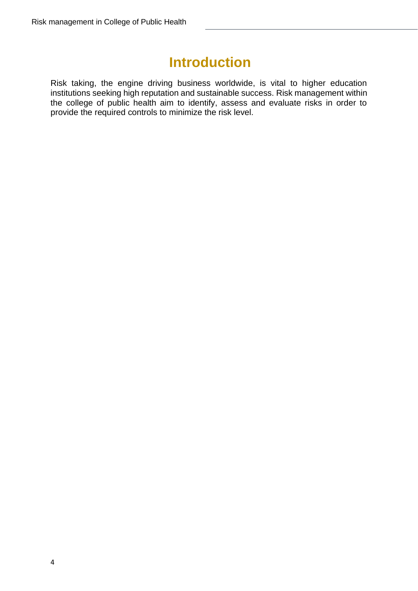## **Introduction**

Risk taking, the engine driving business worldwide, is vital to higher education institutions seeking high reputation and sustainable success. Risk management within the college of public health aim to identify, assess and evaluate risks in order to provide the required controls to minimize the risk level.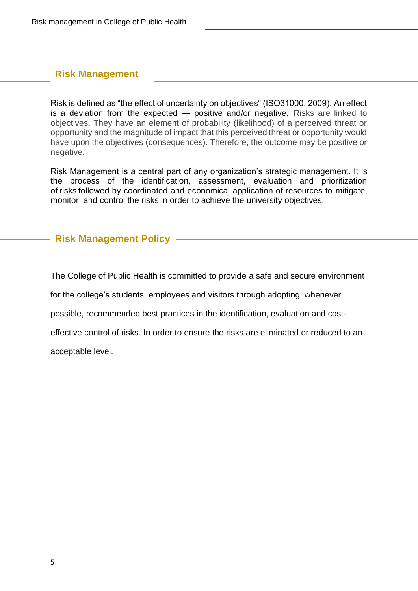#### **Risk Management**

Risk is defined as "the effect of uncertainty on objectives" (ISO31000, 2009). An effect is a deviation from the expected — positive and/or negative. Risks are linked to objectives. They have an element of probability (likelihood) of a perceived threat or opportunity and the magnitude of impact that this perceived threat or opportunity would have upon the objectives (consequences). Therefore, the outcome may be positive or negative.

Risk Management is a central part of any organization's strategic management. It is the process of the identification, assessment, evaluation and prioritization of risks followed by coordinated and economical application of resources to mitigate, monitor, and control the risks in order to achieve the university objectives.

#### **Risk Management Policy**

The College of Public Health is committed to provide a safe and secure environment

for the college's students, employees and visitors through adopting, whenever

possible, recommended best practices in the identification, evaluation and cost-

effective control of risks. In order to ensure the risks are eliminated or reduced to an

acceptable level.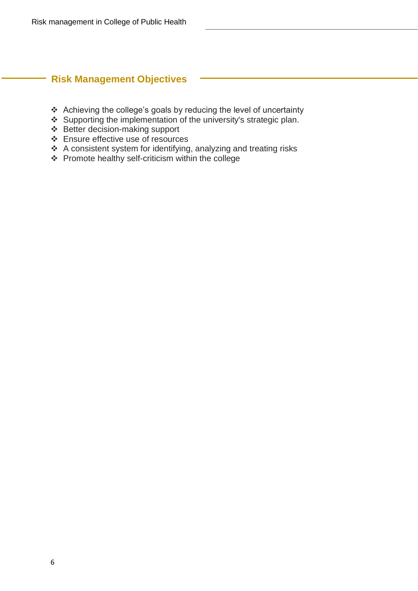#### **Risk Management Objectives**

- ❖ Achieving the college's goals by reducing the level of uncertainty
- ❖ Supporting the implementation of the university's strategic plan.
- ❖ Better decision-making support
- ❖ Ensure effective use of resources
- ❖ A consistent system for identifying, analyzing and treating risks
- ❖ Promote healthy self-criticism within the college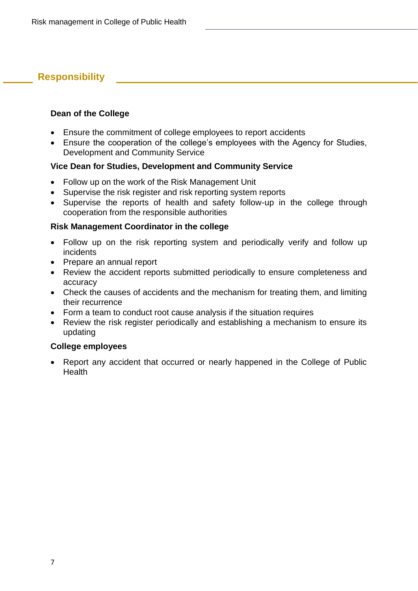#### **Responsibility**

#### **Dean of the College**

- Ensure the commitment of college employees to report accidents
- Ensure the cooperation of the college's employees with the Agency for Studies, Development and Community Service

#### **Vice Dean for Studies, Development and Community Service**

- Follow up on the work of the Risk Management Unit
- Supervise the risk register and risk reporting system reports
- Supervise the reports of health and safety follow-up in the college through cooperation from the responsible authorities

#### **Risk Management Coordinator in the college**

- Follow up on the risk reporting system and periodically verify and follow up incidents
- Prepare an annual report
- Review the accident reports submitted periodically to ensure completeness and accuracy
- Check the causes of accidents and the mechanism for treating them, and limiting their recurrence
- Form a team to conduct root cause analysis if the situation requires
- Review the risk register periodically and establishing a mechanism to ensure its updating

#### **College employees**

• Report any accident that occurred or nearly happened in the College of Public **Health**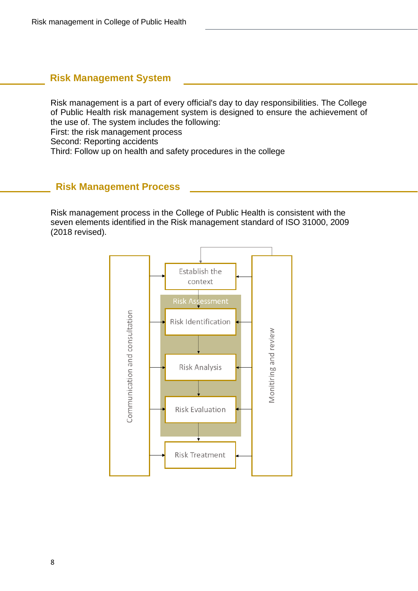#### **Risk Management System**

Risk management is a part of every official's day to day responsibilities. The College of Public Health risk management system is designed to ensure the achievement of the use of. The system includes the following: First: the risk management process

Second: Reporting accidents

Third: Follow up on health and safety procedures in the college

#### **Risk Management Process**

Risk management process in the College of Public Health is consistent with the seven elements identified in the Risk management standard of ISO 31000, 2009 (2018 revised).

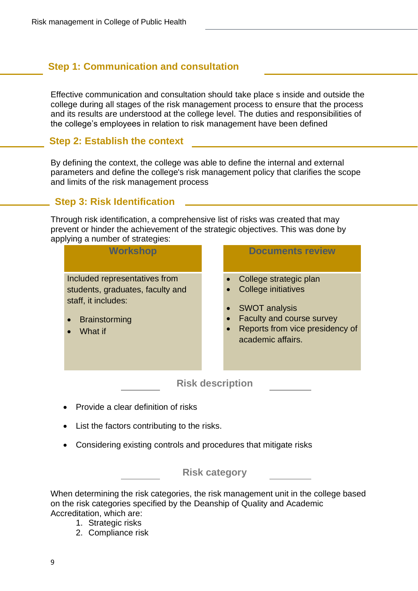#### **Step 1: Communication and consultation**

Effective communication and consultation should take place s inside and outside the college during all stages of the risk management process to ensure that the process and its results are understood at the college level. The duties and responsibilities of the college's employees in relation to risk management have been defined

#### **Step 2: Establish the context**

By defining the context, the college was able to define the internal and external parameters and define the college's risk management policy that clarifies the scope and limits of the risk management process

#### **Step 3: Risk Identification**

Through risk identification, a comprehensive list of risks was created that may prevent or hinder the achievement of the strategic objectives. This was done by applying a number of strategies:



- List the factors contributing to the risks.
- Considering existing controls and procedures that mitigate risks

**Risk category**

When determining the risk categories, the risk management unit in the college based on the risk categories specified by the Deanship of Quality and Academic Accreditation, which are:

- 1. Strategic risks
- 2. Compliance risk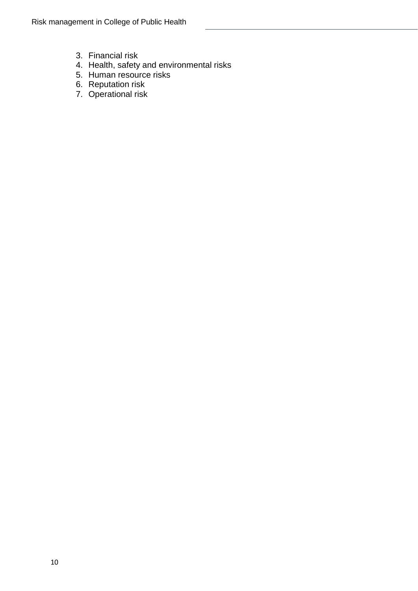- 3. Financial risk
- 4. Health, safety and environmental risks
- 5. Human resource risks
- 6. Reputation risk
- 7. Operational risk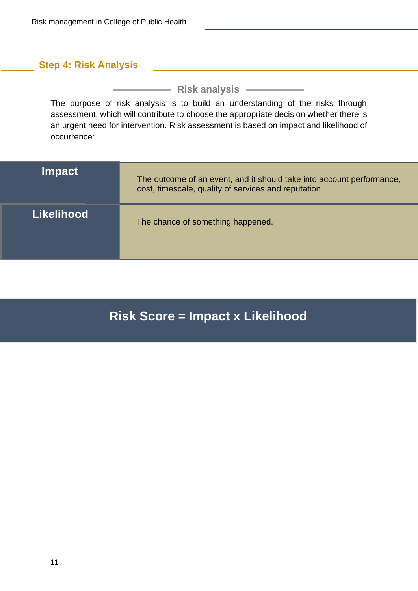#### **Step 4: Risk Analysis**

- Risk analysis -

The purpose of risk analysis is to build an understanding of the risks through assessment, which will contribute to choose the appropriate decision whether there is an urgent need for intervention. Risk assessment is based on impact and likelihood of occurrence :

| <b>Impact</b> | The outcome of an event, and it should take into account performance,<br>cost, timescale, quality of services and reputation |
|---------------|------------------------------------------------------------------------------------------------------------------------------|
| Likelihood    | The chance of something happened.                                                                                            |

### **Risk Score = Impact x Likelihood**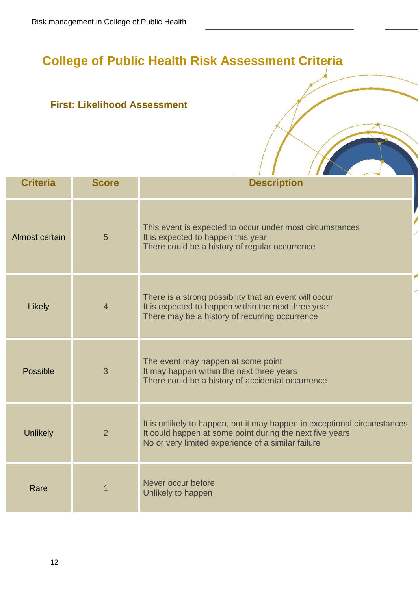## **College of Public Health Risk Assessment Criteria**

#### **First: Likelihood Assessment**

| <b>Criteria</b> | <b>Score</b>   | <b>Description</b>                                                                                                                                                                         |  |  |
|-----------------|----------------|--------------------------------------------------------------------------------------------------------------------------------------------------------------------------------------------|--|--|
|                 |                |                                                                                                                                                                                            |  |  |
| Almost certain  | 5              | This event is expected to occur under most circumstances<br>It is expected to happen this year<br>There could be a history of regular occurrence                                           |  |  |
| Likely          | 4              | There is a strong possibility that an event will occur<br>It is expected to happen within the next three year<br>There may be a history of recurring occurrence                            |  |  |
| <b>Possible</b> | 3              | The event may happen at some point<br>It may happen within the next three years<br>There could be a history of accidental occurrence                                                       |  |  |
| <b>Unlikely</b> | $\overline{2}$ | It is unlikely to happen, but it may happen in exceptional circumstances<br>It could happen at some point during the next five years<br>No or very limited experience of a similar failure |  |  |
| Rare            | 1              | Never occur before<br>Unlikely to happen                                                                                                                                                   |  |  |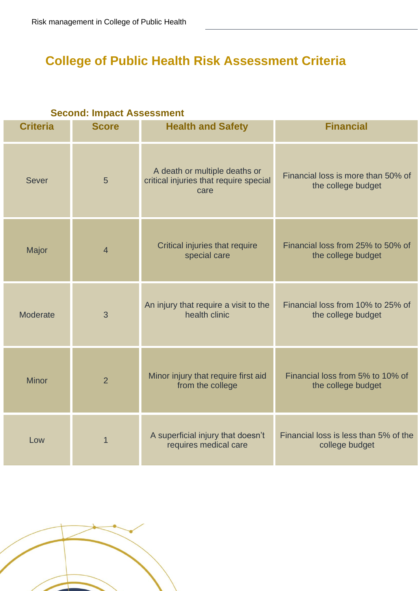## **College of Public Health Risk Assessment Criteria**

| <b>Second: Impact Assessment</b> |                |                                                                                 |                                                          |  |
|----------------------------------|----------------|---------------------------------------------------------------------------------|----------------------------------------------------------|--|
| <b>Criteria</b>                  | <b>Score</b>   | <b>Health and Safety</b>                                                        | <b>Financial</b>                                         |  |
| <b>Sever</b>                     | 5              | A death or multiple deaths or<br>critical injuries that require special<br>care | Financial loss is more than 50% of<br>the college budget |  |
| Major                            | $\overline{4}$ | Critical injuries that require<br>special care                                  | Financial loss from 25% to 50% of<br>the college budget  |  |
| <b>Moderate</b>                  | 3              | An injury that require a visit to the<br>health clinic                          | Financial loss from 10% to 25% of<br>the college budget  |  |
| <b>Minor</b>                     | $\overline{2}$ | Minor injury that require first aid<br>from the college                         | Financial loss from 5% to 10% of<br>the college budget   |  |
| Low                              | 1              | A superficial injury that doesn't<br>requires medical care                      | Financial loss is less than 5% of the<br>college budget  |  |

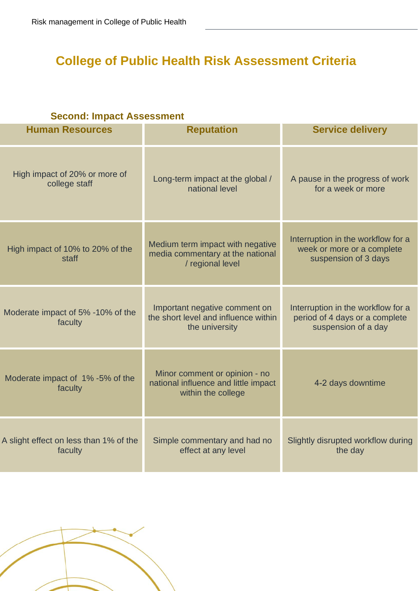## **College of Public Health Risk Assessment Criteria**

| <b>Second: Impact Assessment</b>                  |                                                                                             |                                                                                             |  |
|---------------------------------------------------|---------------------------------------------------------------------------------------------|---------------------------------------------------------------------------------------------|--|
| <b>Human Resources</b>                            | <b>Reputation</b>                                                                           | <b>Service delivery</b>                                                                     |  |
| High impact of 20% or more of<br>college staff    | Long-term impact at the global /<br>national level                                          | A pause in the progress of work<br>for a week or more                                       |  |
| High impact of 10% to 20% of the<br>staff         | Medium term impact with negative<br>media commentary at the national<br>/ regional level    | Interruption in the workflow for a<br>week or more or a complete<br>suspension of 3 days    |  |
| Moderate impact of 5% -10% of the<br>faculty      | Important negative comment on<br>the short level and influence within<br>the university     | Interruption in the workflow for a<br>period of 4 days or a complete<br>suspension of a day |  |
| Moderate impact of 1% -5% of the<br>faculty       | Minor comment or opinion - no<br>national influence and little impact<br>within the college | 4-2 days downtime                                                                           |  |
| A slight effect on less than 1% of the<br>faculty | Simple commentary and had no<br>effect at any level                                         | Slightly disrupted workflow during<br>the day                                               |  |

#### **Second: Impact Assessment**

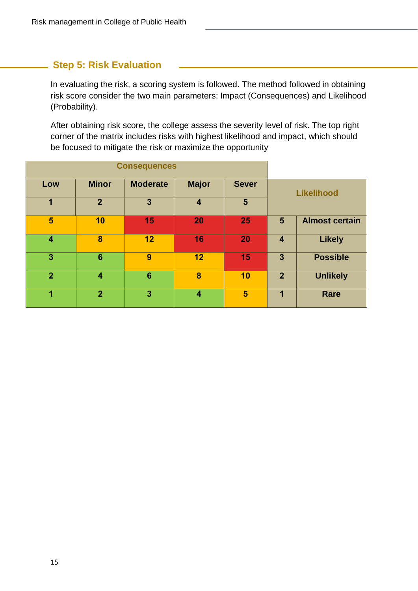#### **Step 5: Risk Evaluation**

In evaluating the risk, a scoring system is followed. The method followed in obtaining risk score consider the two main parameters: Impact (Consequences) and Likelihood (Probability).

After obtaining risk score, the college assess the severity level of risk. The top right corner of the matrix includes risks with highest likelihood and impact, which should be focused to mitigate the risk or maximize the opportunity

|                         |                         | <b>Consequences</b> |                         |              |                         |                       |  |
|-------------------------|-------------------------|---------------------|-------------------------|--------------|-------------------------|-----------------------|--|
| Low                     | <b>Minor</b>            | <b>Moderate</b>     | <b>Major</b>            | <b>Sever</b> |                         | <b>Likelihood</b>     |  |
| $\blacktriangleleft$    | $\overline{2}$          | $\overline{3}$      | $\overline{\mathbf{4}}$ | 5            |                         |                       |  |
| 5                       | 10                      | 15                  | 20                      | 25           | 5                       | <b>Almost certain</b> |  |
| $\overline{\mathbf{4}}$ | 8                       | 12                  | 16                      | 20           | $\overline{4}$          | <b>Likely</b>         |  |
| $\overline{\mathbf{3}}$ | 6                       | 9                   | 12                      | 15           | $\overline{\mathbf{3}}$ | <b>Possible</b>       |  |
| $\overline{2}$          | $\overline{\mathbf{4}}$ | $6\phantom{1}6$     | 8                       | 10           | $\overline{2}$          | <b>Unlikely</b>       |  |
| 1                       | $\overline{2}$          | $\overline{3}$      | $\overline{\mathbf{4}}$ | 5            | 1                       | Rare                  |  |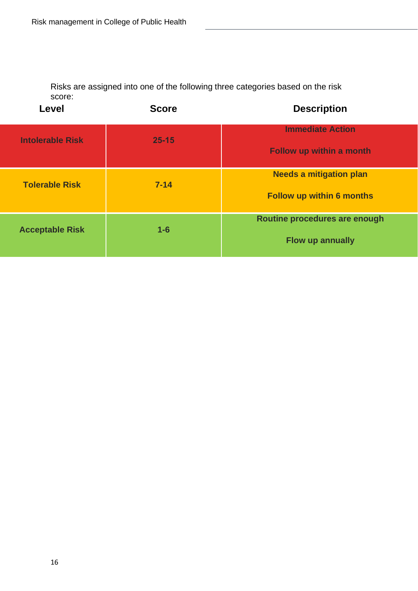Risks are assigned into one of the following three categories based on the risk score:

| Level                   | <b>Score</b> | <b>Description</b>                                                 |
|-------------------------|--------------|--------------------------------------------------------------------|
| <b>Intolerable Risk</b> | $25 - 15$    | <b>Immediate Action</b><br>Follow up within a month                |
| <b>Tolerable Risk</b>   | $7 - 14$     | <b>Needs a mitigation plan</b><br><b>Follow up within 6 months</b> |
| <b>Acceptable Risk</b>  | $1-6$        | Routine procedures are enough<br><b>Flow up annually</b>           |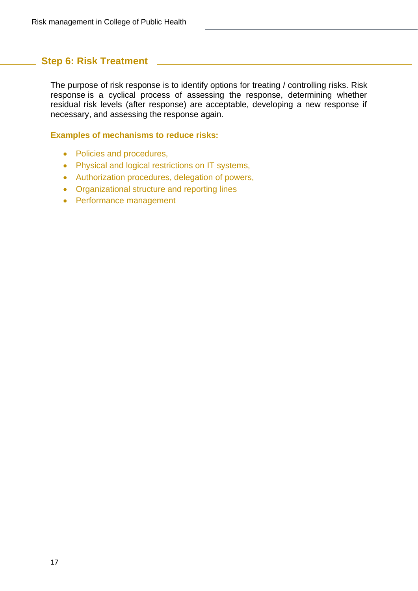#### **Step 6: Risk Treatment**

The purpose of risk response is to identify options for treating / controlling risks. Risk response is a cyclical process of assessing the response, determining whether residual risk levels (after response) are acceptable, developing a new response if necessary, and assessing the response again.

#### **Examples of mechanisms to reduce risks:**

- Policies and procedures,
- Physical and logical restrictions on IT systems,
- Authorization procedures, delegation of powers,
- Organizational structure and reporting lines
- Performance management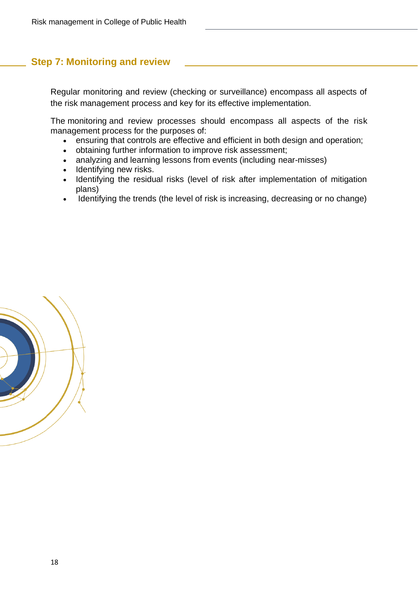#### **Step 7: Monitoring and review**

Regular monitoring and review (checking or surveillance) encompass all aspects of the risk management process and key for its effective implementation.

The monitoring and review processes should encompass all aspects of the risk management process for the purposes of:

- ensuring that controls are effective and efficient in both design and operation;
- obtaining further information to improve risk assessment;
- analyzing and learning lessons from events (including near-misses)
- Identifying new risks.
- Identifying the residual risks (level of risk after implementation of mitigation plans)
- Identifying the trends (the level of risk is increasing, decreasing or no change)

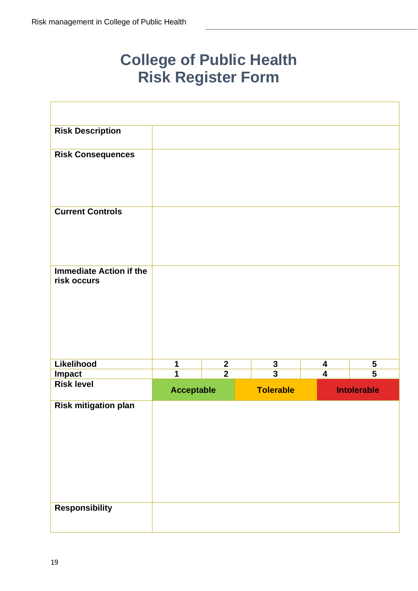## **College of Public Health Risk Register Form**

| <b>Risk Description</b>                       |                   |               |                  |                         |                    |
|-----------------------------------------------|-------------------|---------------|------------------|-------------------------|--------------------|
| <b>Risk Consequences</b>                      |                   |               |                  |                         |                    |
| <b>Current Controls</b>                       |                   |               |                  |                         |                    |
| <b>Immediate Action if the</b><br>risk occurs |                   |               |                  |                         |                    |
| Likelihood                                    | $\mathbf 1$       | $\frac{2}{2}$ | $\frac{3}{3}$    | $\boldsymbol{4}$        | 5                  |
| <b>Impact</b>                                 | $\overline{1}$    |               |                  | $\overline{\mathbf{4}}$ | 5                  |
| <b>Risk level</b>                             | <b>Acceptable</b> |               | <b>Tolerable</b> |                         | <b>Intolerable</b> |
| <b>Risk mitigation plan</b>                   |                   |               |                  |                         |                    |
| <b>Responsibility</b>                         |                   |               |                  |                         |                    |